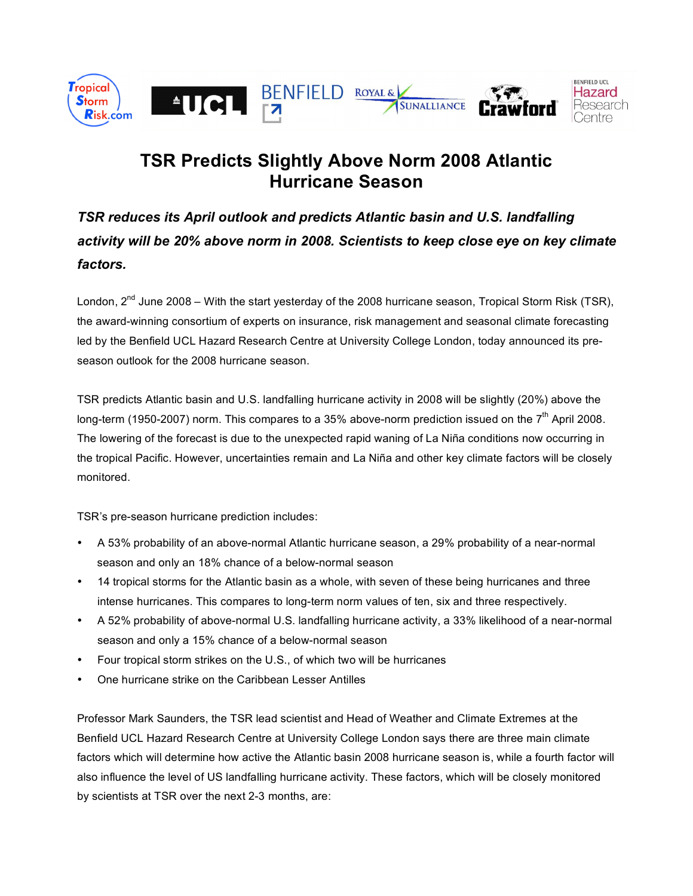

## **TSR Predicts Slightly Above Norm 2008 Atlantic Hurricane Season**

*TSR reduces its April outlook and predicts Atlantic basin and U.S. landfalling activity will be 20% above norm in 2008. Scientists to keep close eye on key climate factors.*

London,  $2^{nd}$  June 2008 – With the start yesterday of the 2008 hurricane season, Tropical Storm Risk (TSR), the award-winning consortium of experts on insurance, risk management and seasonal climate forecasting led by the Benfield UCL Hazard Research Centre at University College London, today announced its preseason outlook for the 2008 hurricane season.

TSR predicts Atlantic basin and U.S. landfalling hurricane activity in 2008 will be slightly (20%) above the long-term (1950-2007) norm. This compares to a 35% above-norm prediction issued on the 7<sup>th</sup> April 2008. The lowering of the forecast is due to the unexpected rapid waning of La Niña conditions now occurring in the tropical Pacific. However, uncertainties remain and La Niña and other key climate factors will be closely monitored.

TSR's pre-season hurricane prediction includes:

- A 53% probability of an above-normal Atlantic hurricane season, a 29% probability of a near-normal season and only an 18% chance of a below-normal season
- 14 tropical storms for the Atlantic basin as a whole, with seven of these being hurricanes and three intense hurricanes. This compares to long-term norm values of ten, six and three respectively.
- A 52% probability of above-normal U.S. landfalling hurricane activity, a 33% likelihood of a near-normal season and only a 15% chance of a below-normal season
- Four tropical storm strikes on the U.S., of which two will be hurricanes
- One hurricane strike on the Caribbean Lesser Antilles

Professor Mark Saunders, the TSR lead scientist and Head of Weather and Climate Extremes at the Benfield UCL Hazard Research Centre at University College London says there are three main climate factors which will determine how active the Atlantic basin 2008 hurricane season is, while a fourth factor will also influence the level of US landfalling hurricane activity. These factors, which will be closely monitored by scientists at TSR over the next 2-3 months, are: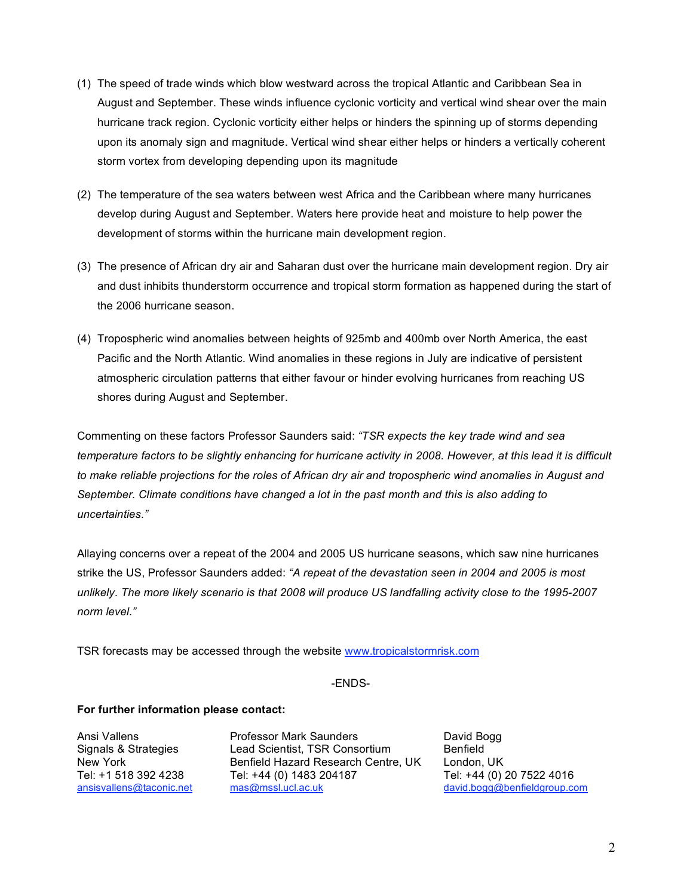- (1) The speed of trade winds which blow westward across the tropical Atlantic and Caribbean Sea in August and September. These winds influence cyclonic vorticity and vertical wind shear over the main hurricane track region. Cyclonic vorticity either helps or hinders the spinning up of storms depending upon its anomaly sign and magnitude. Vertical wind shear either helps or hinders a vertically coherent storm vortex from developing depending upon its magnitude
- (2) The temperature of the sea waters between west Africa and the Caribbean where many hurricanes develop during August and September. Waters here provide heat and moisture to help power the development of storms within the hurricane main development region.
- (3) The presence of African dry air and Saharan dust over the hurricane main development region. Dry air and dust inhibits thunderstorm occurrence and tropical storm formation as happened during the start of the 2006 hurricane season.
- (4) Tropospheric wind anomalies between heights of 925mb and 400mb over North America, the east Pacific and the North Atlantic. Wind anomalies in these regions in July are indicative of persistent atmospheric circulation patterns that either favour or hinder evolving hurricanes from reaching US shores during August and September.

Commenting on these factors Professor Saunders said: *"TSR expects the key trade wind and sea* temperature factors to be slightly enhancing for hurricane activity in 2008. However, at this lead it is difficult to make reliable projections for the roles of African dry air and tropospheric wind anomalies in August and *September. Climate conditions have changed a lot in the past month and this is also adding to uncertainties."*

Allaying concerns over a repeat of the 2004 and 2005 US hurricane seasons, which saw nine hurricanes strike the US, Professor Saunders added: *"A repeat of the devastation seen in 2004 and 2005 is most* unlikely. The more likely scenario is that 2008 will produce US landfalling activity close to the 1995-2007 *norm level."*

TSR forecasts may be accessed through the website www.tropicalstormrisk.com

## -ENDS-

## **For further information please contact:**

Ansi Vallens Professor Mark Saunders David Bogg Signals & Strategies Lead Scientist, TSR Consortium Benfield New York Benfield Hazard Research Centre, UK London, UK<br>Tel: +1 518 392 4238 Tel: +44 (0) 1483 204187 Tel: +44 (0) 2 Tel: +44 (0) 1483 204187 Tel: +44 (0) 20 7522 4016<br>mas@mssl.ucl.ac.uk david.bogg@benfieldgroup.co ansisvallens@taconic.net mas@mssl.ucl.ac.uk david.bogg@benfieldgroup.com